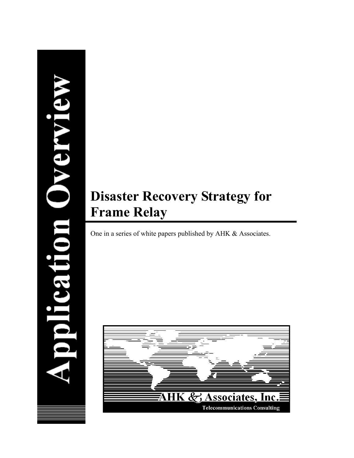# polication Overvie

# **Disaster Recovery Strategy for Frame Relay**

One in a series of white papers published by AHK & Associates.

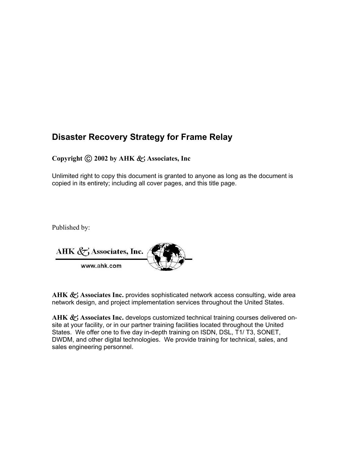### **Disaster Recovery Strategy for Frame Relay**

### **Copyright 2002 by AHK** R **Associates, Inc**

Unlimited right to copy this document is granted to anyone as long as the document is copied in its entirety; including all cover pages, and this title page.

Published by:

| AHK $\langle \nabla \rangle$ Associates, Inc. |  |
|-----------------------------------------------|--|
| www.ahk.com                                   |  |

AHK & Associates Inc. provides sophisticated network access consulting, wide area network design, and project implementation services throughout the United States.

AHK  $\&$  Associates Inc. develops customized technical training courses delivered onsite at your facility, or in our partner training facilities located throughout the United States. We offer one to five day in-depth training on ISDN, DSL, T1/ T3, SONET, DWDM, and other digital technologies. We provide training for technical, sales, and sales engineering personnel.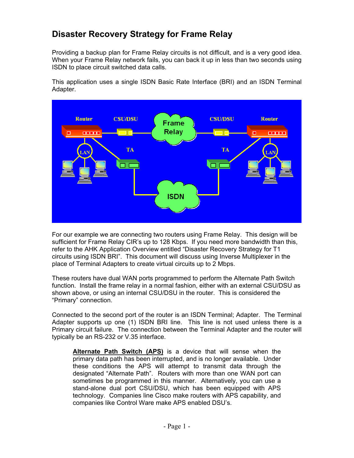### **Disaster Recovery Strategy for Frame Relay**

Providing a backup plan for Frame Relay circuits is not difficult, and is a very good idea. When your Frame Relay network fails, you can back it up in less than two seconds using ISDN to place circuit switched data calls.

This application uses a single ISDN Basic Rate Interface (BRI) and an ISDN Terminal Adapter.



For our example we are connecting two routers using Frame Relay. This design will be sufficient for Frame Relay CIR's up to 128 Kbps. If you need more bandwidth than this, refer to the AHK Application Overview entitled "Disaster Recovery Strategy for T1 circuits using ISDN BRI". This document will discuss using Inverse Multiplexer in the place of Terminal Adapters to create virtual circuits up to 2 Mbps.

These routers have dual WAN ports programmed to perform the Alternate Path Switch function. Install the frame relay in a normal fashion, either with an external CSU/DSU as shown above, or using an internal CSU/DSU in the router. This is considered the "Primary" connection.

Connected to the second port of the router is an ISDN Terminal; Adapter. The Terminal Adapter supports up one (1) ISDN BRI line. This line is not used unless there is a Primary circuit failure. The connection between the Terminal Adapter and the router will typically be an RS-232 or V.35 interface.

**Alternate Path Switch (APS)** is a device that will sense when the primary data path has been interrupted, and is no longer available. Under these conditions the APS will attempt to transmit data through the designated "Alternate Path". Routers with more than one WAN port can sometimes be programmed in this manner. Alternatively, you can use a stand-alone dual port CSU/DSU, which has been equipped with APS technology. Companies line Cisco make routers with APS capability, and companies like Control Ware make APS enabled DSU's.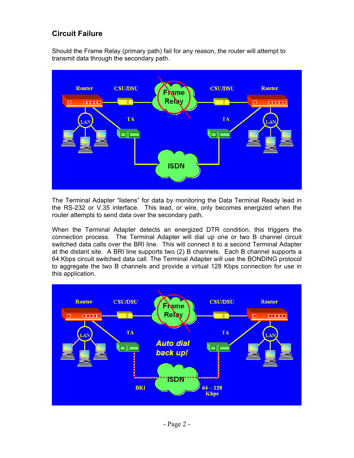### **Circuit Failure**

Should the Frame Relay (primary path) fail for any reason, the router will attempt to transmit data through the secondary path.



The Terminal Adapter "listens" for data by monitoring the Data Terminal Ready lead in the RS-232 or V.35 interface. This lead, or wire, only becomes energized when the router attempts to send data over the secondary path.

When the Terminal Adapter detects an energized DTR condition, this triggers the connection process. The Terminal Adapter will dial up one or two B channel circuit switched data calls over the BRI line. This will connect it to a second Terminal Adapter at the distant site. A BRI line supports two (2) B channels. Each B channel supports a 64 Kbps circuit switched data call. The Terminal Adapter will use the BONDING protocol to aggregate the two B channels and provide a virtual 128 Kbps connection for use in this application.

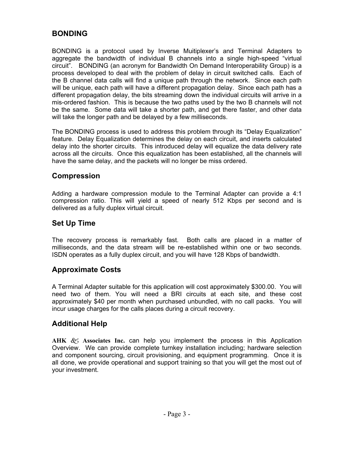### **BONDING**

BONDING is a protocol used by Inverse Muitiplexer's and Terminal Adapters to aggregate the bandwidth of individual B channels into a single high-speed "virtual circuit". BONDING (an acronym for Bandwidth On Demand Interoperability Group) is a process developed to deal with the problem of delay in circuit switched calls. Each of the B channel data calls will find a unique path through the network. Since each path will be unique, each path will have a different propagation delay. Since each path has a different propagation delay, the bits streaming down the individual circuits will arrive in a mis-ordered fashion. This is because the two paths used by the two B channels will not be the same. Some data will take a shorter path, and get there faster, and other data will take the longer path and be delayed by a few milliseconds.

The BONDING process is used to address this problem through its "Delay Equalization" feature. Delay Equalization determines the delay on each circuit, and inserts calculated delay into the shorter circuits. This introduced delay will equalize the data delivery rate across all the circuits. Once this equalization has been established, all the channels will have the same delay, and the packets will no longer be miss ordered.

### **Compression**

Adding a hardware compression module to the Terminal Adapter can provide a 4:1 compression ratio. This will yield a speed of nearly 512 Kbps per second and is delivered as a fully duplex virtual circuit.

### **Set Up Time**

The recovery process is remarkably fast. Both calls are placed in a matter of milliseconds, and the data stream will be re-established within one or two seconds. ISDN operates as a fully duplex circuit, and you will have 128 Kbps of bandwidth.

### **Approximate Costs**

A Terminal Adapter suitable for this application will cost approximately \$300.00. You will need two of them. You will need a BRI circuits at each site, and these cost approximately \$40 per month when purchased unbundled, with no call packs. You will incur usage charges for the calls places during a circuit recovery.

### **Additional Help**

AHK  $\mathcal{R}_1$  Associates Inc. can help you implement the process in this Application Overview. We can provide complete turnkey installation including; hardware selection and component sourcing, circuit provisioning, and equipment programming. Once it is all done, we provide operational and support training so that you will get the most out of your investment.